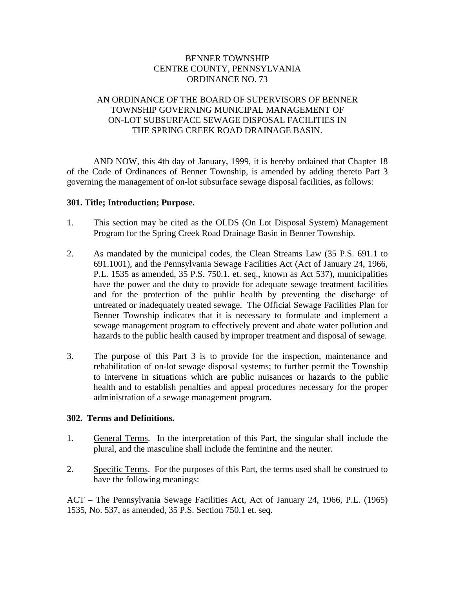### BENNER TOWNSHIP CENTRE COUNTY, PENNSYLVANIA ORDINANCE NO. 73

# AN ORDINANCE OF THE BOARD OF SUPERVISORS OF BENNER TOWNSHIP GOVERNING MUNICIPAL MANAGEMENT OF ON-LOT SUBSURFACE SEWAGE DISPOSAL FACILITIES IN THE SPRING CREEK ROAD DRAINAGE BASIN.

AND NOW, this 4th day of January, 1999, it is hereby ordained that Chapter 18 of the Code of Ordinances of Benner Township, is amended by adding thereto Part 3 governing the management of on-lot subsurface sewage disposal facilities, as follows:

#### **301. Title; Introduction; Purpose.**

- 1. This section may be cited as the OLDS (On Lot Disposal System) Management Program for the Spring Creek Road Drainage Basin in Benner Township.
- 2. As mandated by the municipal codes, the Clean Streams Law (35 P.S. 691.1 to 691.1001), and the Pennsylvania Sewage Facilities Act (Act of January 24, 1966, P.L. 1535 as amended, 35 P.S. 750.1. et. seq., known as Act 537), municipalities have the power and the duty to provide for adequate sewage treatment facilities and for the protection of the public health by preventing the discharge of untreated or inadequately treated sewage. The Official Sewage Facilities Plan for Benner Township indicates that it is necessary to formulate and implement a sewage management program to effectively prevent and abate water pollution and hazards to the public health caused by improper treatment and disposal of sewage.
- 3. The purpose of this Part 3 is to provide for the inspection, maintenance and rehabilitation of on-lot sewage disposal systems; to further permit the Township to intervene in situations which are public nuisances or hazards to the public health and to establish penalties and appeal procedures necessary for the proper administration of a sewage management program.

#### **302. Terms and Definitions.**

- 1. General Terms. In the interpretation of this Part, the singular shall include the plural, and the masculine shall include the feminine and the neuter.
- 2. Specific Terms. For the purposes of this Part, the terms used shall be construed to have the following meanings:

ACT – The Pennsylvania Sewage Facilities Act, Act of January 24, 1966, P.L. (1965) 1535, No. 537, as amended, 35 P.S. Section 750.1 et. seq.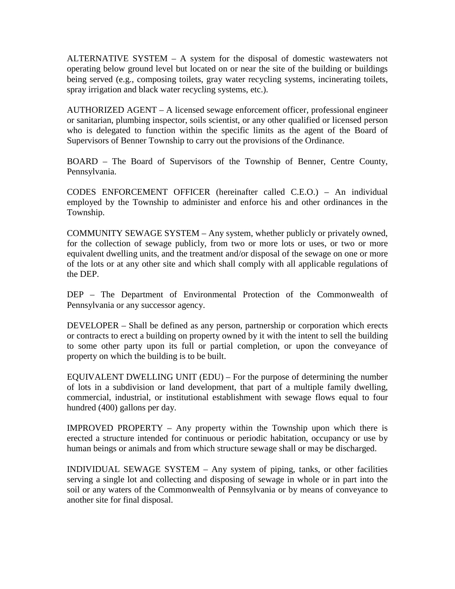ALTERNATIVE SYSTEM – A system for the disposal of domestic wastewaters not operating below ground level but located on or near the site of the building or buildings being served (e.g., composing toilets, gray water recycling systems, incinerating toilets, spray irrigation and black water recycling systems, etc.).

AUTHORIZED AGENT – A licensed sewage enforcement officer, professional engineer or sanitarian, plumbing inspector, soils scientist, or any other qualified or licensed person who is delegated to function within the specific limits as the agent of the Board of Supervisors of Benner Township to carry out the provisions of the Ordinance.

BOARD – The Board of Supervisors of the Township of Benner, Centre County, Pennsylvania.

CODES ENFORCEMENT OFFICER (hereinafter called C.E.O.) – An individual employed by the Township to administer and enforce his and other ordinances in the Township.

COMMUNITY SEWAGE SYSTEM – Any system, whether publicly or privately owned, for the collection of sewage publicly, from two or more lots or uses, or two or more equivalent dwelling units, and the treatment and/or disposal of the sewage on one or more of the lots or at any other site and which shall comply with all applicable regulations of the DEP.

DEP – The Department of Environmental Protection of the Commonwealth of Pennsylvania or any successor agency.

DEVELOPER – Shall be defined as any person, partnership or corporation which erects or contracts to erect a building on property owned by it with the intent to sell the building to some other party upon its full or partial completion, or upon the conveyance of property on which the building is to be built.

EQUIVALENT DWELLING UNIT (EDU) – For the purpose of determining the number of lots in a subdivision or land development, that part of a multiple family dwelling, commercial, industrial, or institutional establishment with sewage flows equal to four hundred (400) gallons per day.

IMPROVED PROPERTY – Any property within the Township upon which there is erected a structure intended for continuous or periodic habitation, occupancy or use by human beings or animals and from which structure sewage shall or may be discharged.

INDIVIDUAL SEWAGE SYSTEM – Any system of piping, tanks, or other facilities serving a single lot and collecting and disposing of sewage in whole or in part into the soil or any waters of the Commonwealth of Pennsylvania or by means of conveyance to another site for final disposal.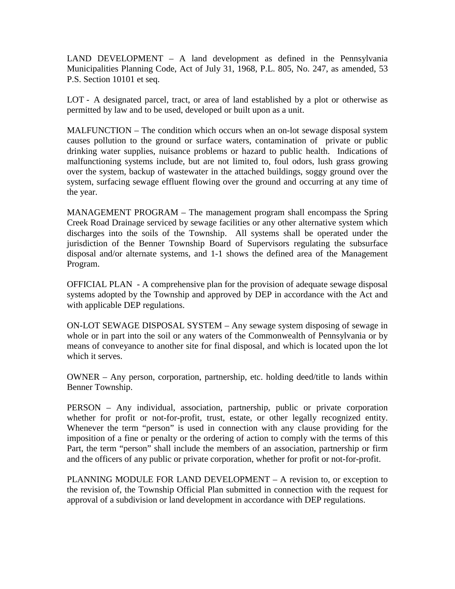LAND DEVELOPMENT – A land development as defined in the Pennsylvania Municipalities Planning Code, Act of July 31, 1968, P.L. 805, No. 247, as amended, 53 P.S. Section 10101 et seq.

LOT - A designated parcel, tract, or area of land established by a plot or otherwise as permitted by law and to be used, developed or built upon as a unit.

MALFUNCTION – The condition which occurs when an on-lot sewage disposal system causes pollution to the ground or surface waters, contamination of private or public drinking water supplies, nuisance problems or hazard to public health. Indications of malfunctioning systems include, but are not limited to, foul odors, lush grass growing over the system, backup of wastewater in the attached buildings, soggy ground over the system, surfacing sewage effluent flowing over the ground and occurring at any time of the year.

MANAGEMENT PROGRAM – The management program shall encompass the Spring Creek Road Drainage serviced by sewage facilities or any other alternative system which discharges into the soils of the Township. All systems shall be operated under the jurisdiction of the Benner Township Board of Supervisors regulating the subsurface disposal and/or alternate systems, and 1-1 shows the defined area of the Management Program.

OFFICIAL PLAN - A comprehensive plan for the provision of adequate sewage disposal systems adopted by the Township and approved by DEP in accordance with the Act and with applicable DEP regulations.

ON-LOT SEWAGE DISPOSAL SYSTEM – Any sewage system disposing of sewage in whole or in part into the soil or any waters of the Commonwealth of Pennsylvania or by means of conveyance to another site for final disposal, and which is located upon the lot which it serves.

OWNER – Any person, corporation, partnership, etc. holding deed/title to lands within Benner Township.

PERSON – Any individual, association, partnership, public or private corporation whether for profit or not-for-profit, trust, estate, or other legally recognized entity. Whenever the term "person" is used in connection with any clause providing for the imposition of a fine or penalty or the ordering of action to comply with the terms of this Part, the term "person" shall include the members of an association, partnership or firm and the officers of any public or private corporation, whether for profit or not-for-profit.

PLANNING MODULE FOR LAND DEVELOPMENT – A revision to, or exception to the revision of, the Township Official Plan submitted in connection with the request for approval of a subdivision or land development in accordance with DEP regulations.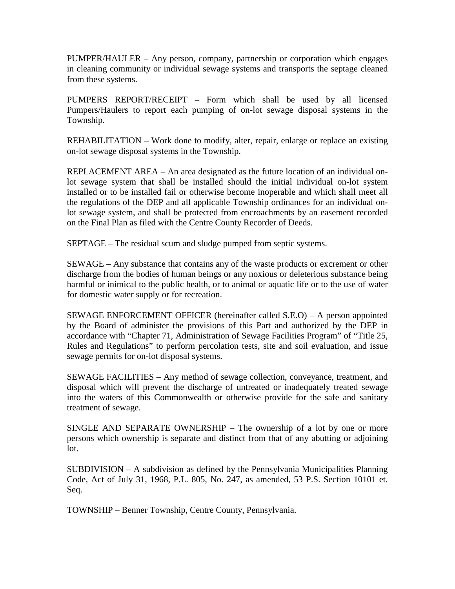PUMPER/HAULER – Any person, company, partnership or corporation which engages in cleaning community or individual sewage systems and transports the septage cleaned from these systems.

PUMPERS REPORT/RECEIPT – Form which shall be used by all licensed Pumpers/Haulers to report each pumping of on-lot sewage disposal systems in the Township.

REHABILITATION – Work done to modify, alter, repair, enlarge or replace an existing on-lot sewage disposal systems in the Township.

REPLACEMENT AREA – An area designated as the future location of an individual onlot sewage system that shall be installed should the initial individual on-lot system installed or to be installed fail or otherwise become inoperable and which shall meet all the regulations of the DEP and all applicable Township ordinances for an individual onlot sewage system, and shall be protected from encroachments by an easement recorded on the Final Plan as filed with the Centre County Recorder of Deeds.

SEPTAGE – The residual scum and sludge pumped from septic systems.

SEWAGE – Any substance that contains any of the waste products or excrement or other discharge from the bodies of human beings or any noxious or deleterious substance being harmful or inimical to the public health, or to animal or aquatic life or to the use of water for domestic water supply or for recreation.

SEWAGE ENFORCEMENT OFFICER (hereinafter called S.E.O) – A person appointed by the Board of administer the provisions of this Part and authorized by the DEP in accordance with "Chapter 71, Administration of Sewage Facilities Program" of "Title 25, Rules and Regulations" to perform percolation tests, site and soil evaluation, and issue sewage permits for on-lot disposal systems.

SEWAGE FACILITIES – Any method of sewage collection, conveyance, treatment, and disposal which will prevent the discharge of untreated or inadequately treated sewage into the waters of this Commonwealth or otherwise provide for the safe and sanitary treatment of sewage.

SINGLE AND SEPARATE OWNERSHIP – The ownership of a lot by one or more persons which ownership is separate and distinct from that of any abutting or adjoining lot.

SUBDIVISION – A subdivision as defined by the Pennsylvania Municipalities Planning Code, Act of July 31, 1968, P.L. 805, No. 247, as amended, 53 P.S. Section 10101 et. Seq.

TOWNSHIP – Benner Township, Centre County, Pennsylvania.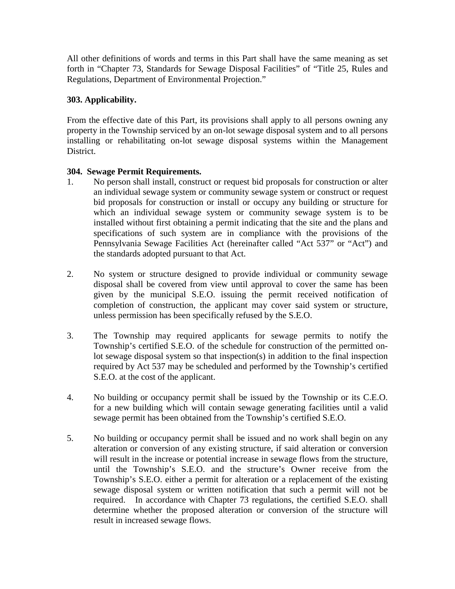All other definitions of words and terms in this Part shall have the same meaning as set forth in "Chapter 73, Standards for Sewage Disposal Facilities" of "Title 25, Rules and Regulations, Department of Environmental Projection."

# **303. Applicability.**

From the effective date of this Part, its provisions shall apply to all persons owning any property in the Township serviced by an on-lot sewage disposal system and to all persons installing or rehabilitating on-lot sewage disposal systems within the Management District.

# **304. Sewage Permit Requirements.**

- 1. No person shall install, construct or request bid proposals for construction or alter an individual sewage system or community sewage system or construct or request bid proposals for construction or install or occupy any building or structure for which an individual sewage system or community sewage system is to be installed without first obtaining a permit indicating that the site and the plans and specifications of such system are in compliance with the provisions of the Pennsylvania Sewage Facilities Act (hereinafter called "Act 537" or "Act") and the standards adopted pursuant to that Act.
- 2. No system or structure designed to provide individual or community sewage disposal shall be covered from view until approval to cover the same has been given by the municipal S.E.O. issuing the permit received notification of completion of construction, the applicant may cover said system or structure, unless permission has been specifically refused by the S.E.O.
- 3. The Township may required applicants for sewage permits to notify the Township's certified S.E.O. of the schedule for construction of the permitted onlot sewage disposal system so that inspection(s) in addition to the final inspection required by Act 537 may be scheduled and performed by the Township's certified S.E.O. at the cost of the applicant.
- 4. No building or occupancy permit shall be issued by the Township or its C.E.O. for a new building which will contain sewage generating facilities until a valid sewage permit has been obtained from the Township's certified S.E.O.
- 5. No building or occupancy permit shall be issued and no work shall begin on any alteration or conversion of any existing structure, if said alteration or conversion will result in the increase or potential increase in sewage flows from the structure, until the Township's S.E.O. and the structure's Owner receive from the Township's S.E.O. either a permit for alteration or a replacement of the existing sewage disposal system or written notification that such a permit will not be required. In accordance with Chapter 73 regulations, the certified S.E.O. shall determine whether the proposed alteration or conversion of the structure will result in increased sewage flows.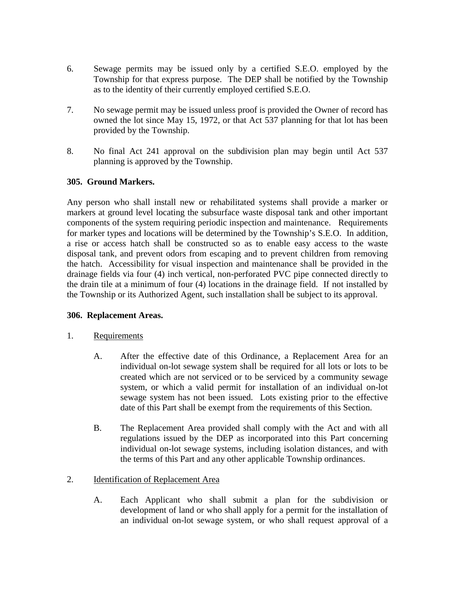- 6. Sewage permits may be issued only by a certified S.E.O. employed by the Township for that express purpose. The DEP shall be notified by the Township as to the identity of their currently employed certified S.E.O.
- 7. No sewage permit may be issued unless proof is provided the Owner of record has owned the lot since May 15, 1972, or that Act 537 planning for that lot has been provided by the Township.
- 8. No final Act 241 approval on the subdivision plan may begin until Act 537 planning is approved by the Township.

# **305. Ground Markers.**

Any person who shall install new or rehabilitated systems shall provide a marker or markers at ground level locating the subsurface waste disposal tank and other important components of the system requiring periodic inspection and maintenance. Requirements for marker types and locations will be determined by the Township's S.E.O. In addition, a rise or access hatch shall be constructed so as to enable easy access to the waste disposal tank, and prevent odors from escaping and to prevent children from removing the hatch. Accessibility for visual inspection and maintenance shall be provided in the drainage fields via four (4) inch vertical, non-perforated PVC pipe connected directly to the drain tile at a minimum of four (4) locations in the drainage field. If not installed by the Township or its Authorized Agent, such installation shall be subject to its approval.

#### **306. Replacement Areas.**

#### 1. Requirements

- A. After the effective date of this Ordinance, a Replacement Area for an individual on-lot sewage system shall be required for all lots or lots to be created which are not serviced or to be serviced by a community sewage system, or which a valid permit for installation of an individual on-lot sewage system has not been issued. Lots existing prior to the effective date of this Part shall be exempt from the requirements of this Section.
- B. The Replacement Area provided shall comply with the Act and with all regulations issued by the DEP as incorporated into this Part concerning individual on-lot sewage systems, including isolation distances, and with the terms of this Part and any other applicable Township ordinances.

#### 2. **Identification of Replacement Area**

A. Each Applicant who shall submit a plan for the subdivision or development of land or who shall apply for a permit for the installation of an individual on-lot sewage system, or who shall request approval of a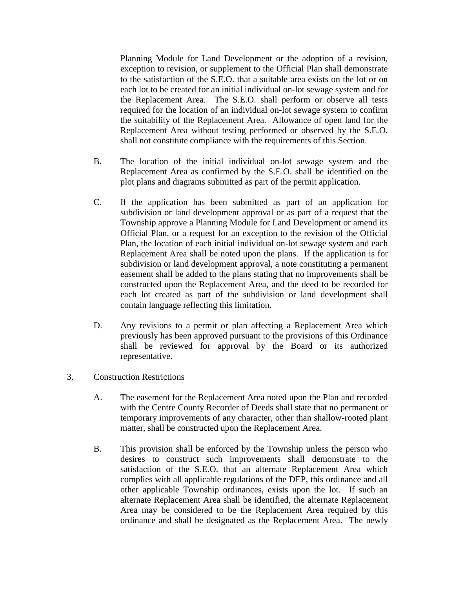Planning Module for Land Development or the adoption of a revision, exception to revision, or supplement to the Official Plan shall demonstrate to the satisfaction of the S.E.O. that a suitable area exists on the lot or on each lot to be created for an initial individual on-lot sewage system and for the Replacement Area. The S.E.O. shall perform or observe all tests required for the location of an individual on-lot sewage system to confirm the suitability of the Replacement Area. Allowance of open land for the Replacement Area without testing performed or observed by the S.E.O. shall not constitute compliance with the requirements of this Section.

- B. The location of the initial individual on-lot sewage system and the Replacement Area as confirmed by the S.E.O. shall be identified on the plot plans and diagrams submitted as part of the permit application.
- C. If the application has been submitted as part of an application for subdivision or land development approval or as part of a request that the Township approve a Planning Module for Land Development or amend its Official Plan, or a request for an exception to the revision of the Official Plan, the location of each initial individual on-lot sewage system and each Replacement Area shall be noted upon the plans. If the application is for subdivision or land development approval, a note constituting a permanent easement shall be added to the plans stating that no improvements shall be constructed upon the Replacement Area, and the deed to be recorded for each lot created as part of the subdivision or land development shall contain language reflecting this limitation.
- D. Any revisions to a permit or plan affecting a Replacement Area which previously has been approved pursuant to the provisions of this Ordinance shall be reviewed for approval by the Board or its authorized representative.
- 3. Construction Restrictions
	- A. The easement for the Replacement Area noted upon the Plan and recorded with the Centre County Recorder of Deeds shall state that no permanent or temporary improvements of any character, other than shallow-rooted plant matter, shall be constructed upon the Replacement Area.
	- B. This provision shall be enforced by the Township unless the person who desires to construct such improvements shall demonstrate to the satisfaction of the S.E.O. that an alternate Replacement Area which complies with all applicable regulations of the DEP, this ordinance and all other applicable Township ordinances, exists upon the lot. If such an alternate Replacement Area shall be identified, the alternate Replacement Area may be considered to be the Replacement Area required by this ordinance and shall be designated as the Replacement Area. The newly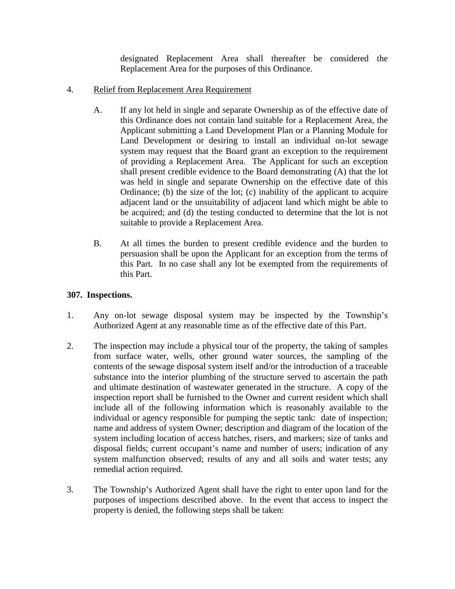designated Replacement Area shall thereafter be considered the Replacement Area for the purposes of this Ordinance.

- 4. Relief from Replacement Area Requirement
	- A. If any lot held in single and separate Ownership as of the effective date of this Ordinance does not contain land suitable for a Replacement Area, the Applicant submitting a Land Development Plan or a Planning Module for Land Development or desiring to install an individual on-lot sewage system may request that the Board grant an exception to the requirement of providing a Replacement Area. The Applicant for such an exception shall present credible evidence to the Board demonstrating (A) that the lot was held in single and separate Ownership on the effective date of this Ordinance; (b) the size of the lot; (c) inability of the applicant to acquire adjacent land or the unsuitability of adjacent land which might be able to be acquired; and (d) the testing conducted to determine that the lot is not suitable to provide a Replacement Area.
	- B. At all times the burden to present credible evidence and the burden to persuasion shall be upon the Applicant for an exception from the terms of this Part. In no case shall any lot be exempted from the requirements of this Part.

### **307. Inspections.**

- 1. Any on-lot sewage disposal system may be inspected by the Township's Authorized Agent at any reasonable time as of the effective date of this Part.
- 2. The inspection may include a physical tour of the property, the taking of samples from surface water, wells, other ground water sources, the sampling of the contents of the sewage disposal system itself and/or the introduction of a traceable substance into the interior plumbing of the structure served to ascertain the path and ultimate destination of wastewater generated in the structure. A copy of the inspection report shall be furnished to the Owner and current resident which shall include all of the following information which is reasonably available to the individual or agency responsible for pumping the septic tank: date of inspection; name and address of system Owner; description and diagram of the location of the system including location of access hatches, risers, and markers; size of tanks and disposal fields; current occupant's name and number of users; indication of any system malfunction observed; results of any and all soils and water tests; any remedial action required.
- 3. The Township's Authorized Agent shall have the right to enter upon land for the purposes of inspections described above. In the event that access to inspect the property is denied, the following steps shall be taken: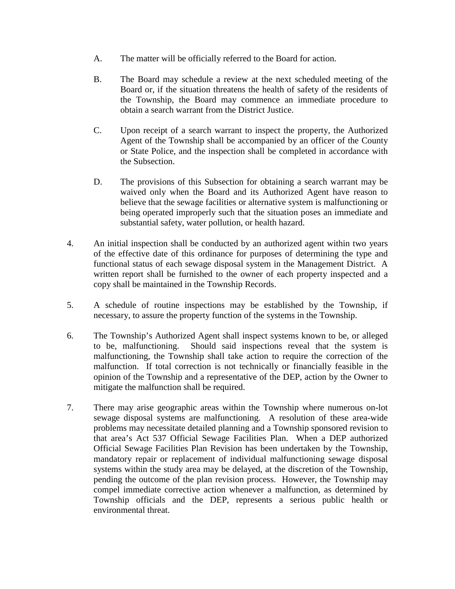- A. The matter will be officially referred to the Board for action.
- B. The Board may schedule a review at the next scheduled meeting of the Board or, if the situation threatens the health of safety of the residents of the Township, the Board may commence an immediate procedure to obtain a search warrant from the District Justice.
- C. Upon receipt of a search warrant to inspect the property, the Authorized Agent of the Township shall be accompanied by an officer of the County or State Police, and the inspection shall be completed in accordance with the Subsection.
- D. The provisions of this Subsection for obtaining a search warrant may be waived only when the Board and its Authorized Agent have reason to believe that the sewage facilities or alternative system is malfunctioning or being operated improperly such that the situation poses an immediate and substantial safety, water pollution, or health hazard.
- 4. An initial inspection shall be conducted by an authorized agent within two years of the effective date of this ordinance for purposes of determining the type and functional status of each sewage disposal system in the Management District. A written report shall be furnished to the owner of each property inspected and a copy shall be maintained in the Township Records.
- 5. A schedule of routine inspections may be established by the Township, if necessary, to assure the property function of the systems in the Township.
- 6. The Township's Authorized Agent shall inspect systems known to be, or alleged to be, malfunctioning. Should said inspections reveal that the system is malfunctioning, the Township shall take action to require the correction of the malfunction. If total correction is not technically or financially feasible in the opinion of the Township and a representative of the DEP, action by the Owner to mitigate the malfunction shall be required.
- 7. There may arise geographic areas within the Township where numerous on-lot sewage disposal systems are malfunctioning. A resolution of these area-wide problems may necessitate detailed planning and a Township sponsored revision to that area's Act 537 Official Sewage Facilities Plan. When a DEP authorized Official Sewage Facilities Plan Revision has been undertaken by the Township, mandatory repair or replacement of individual malfunctioning sewage disposal systems within the study area may be delayed, at the discretion of the Township, pending the outcome of the plan revision process. However, the Township may compel immediate corrective action whenever a malfunction, as determined by Township officials and the DEP, represents a serious public health or environmental threat.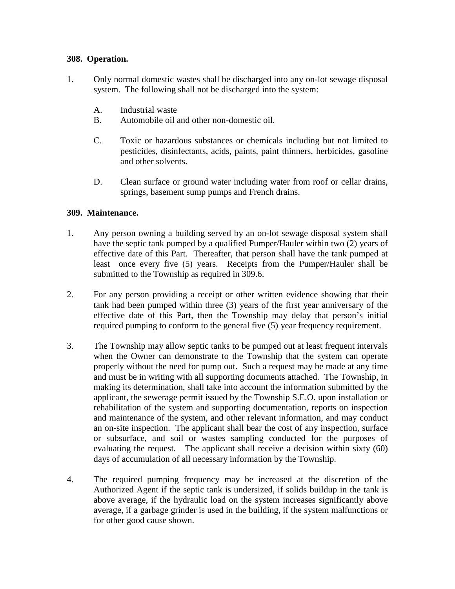### **308. Operation.**

- 1. Only normal domestic wastes shall be discharged into any on-lot sewage disposal system. The following shall not be discharged into the system:
	- A. Industrial waste
	- B. Automobile oil and other non-domestic oil.
	- C. Toxic or hazardous substances or chemicals including but not limited to pesticides, disinfectants, acids, paints, paint thinners, herbicides, gasoline and other solvents.
	- D. Clean surface or ground water including water from roof or cellar drains, springs, basement sump pumps and French drains.

### **309. Maintenance.**

- 1. Any person owning a building served by an on-lot sewage disposal system shall have the septic tank pumped by a qualified Pumper/Hauler within two (2) years of effective date of this Part. Thereafter, that person shall have the tank pumped at least once every five (5) years. Receipts from the Pumper/Hauler shall be submitted to the Township as required in 309.6.
- 2. For any person providing a receipt or other written evidence showing that their tank had been pumped within three (3) years of the first year anniversary of the effective date of this Part, then the Township may delay that person's initial required pumping to conform to the general five (5) year frequency requirement.
- 3. The Township may allow septic tanks to be pumped out at least frequent intervals when the Owner can demonstrate to the Township that the system can operate properly without the need for pump out. Such a request may be made at any time and must be in writing with all supporting documents attached. The Township, in making its determination, shall take into account the information submitted by the applicant, the sewerage permit issued by the Township S.E.O. upon installation or rehabilitation of the system and supporting documentation, reports on inspection and maintenance of the system, and other relevant information, and may conduct an on-site inspection. The applicant shall bear the cost of any inspection, surface or subsurface, and soil or wastes sampling conducted for the purposes of evaluating the request. The applicant shall receive a decision within sixty (60) days of accumulation of all necessary information by the Township.
- 4. The required pumping frequency may be increased at the discretion of the Authorized Agent if the septic tank is undersized, if solids buildup in the tank is above average, if the hydraulic load on the system increases significantly above average, if a garbage grinder is used in the building, if the system malfunctions or for other good cause shown.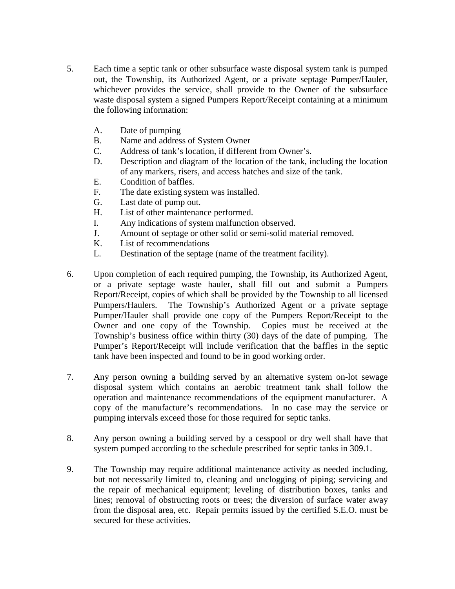- 5. Each time a septic tank or other subsurface waste disposal system tank is pumped out, the Township, its Authorized Agent, or a private septage Pumper/Hauler, whichever provides the service, shall provide to the Owner of the subsurface waste disposal system a signed Pumpers Report/Receipt containing at a minimum the following information:
	- A. Date of pumping
	- B. Name and address of System Owner
	- C. Address of tank's location, if different from Owner's.
	- D. Description and diagram of the location of the tank, including the location of any markers, risers, and access hatches and size of the tank.
	- E. Condition of baffles.
	- F. The date existing system was installed.
	- G. Last date of pump out.
	- H. List of other maintenance performed.
	- I. Any indications of system malfunction observed.
	- J. Amount of septage or other solid or semi-solid material removed.
	- K. List of recommendations
	- L. Destination of the septage (name of the treatment facility).
- 6. Upon completion of each required pumping, the Township, its Authorized Agent, or a private septage waste hauler, shall fill out and submit a Pumpers Report/Receipt, copies of which shall be provided by the Township to all licensed Pumpers/Haulers. The Township's Authorized Agent or a private septage Pumper/Hauler shall provide one copy of the Pumpers Report/Receipt to the Owner and one copy of the Township. Copies must be received at the Township's business office within thirty (30) days of the date of pumping. The Pumper's Report/Receipt will include verification that the baffles in the septic tank have been inspected and found to be in good working order.
- 7. Any person owning a building served by an alternative system on-lot sewage disposal system which contains an aerobic treatment tank shall follow the operation and maintenance recommendations of the equipment manufacturer. A copy of the manufacture's recommendations. In no case may the service or pumping intervals exceed those for those required for septic tanks.
- 8. Any person owning a building served by a cesspool or dry well shall have that system pumped according to the schedule prescribed for septic tanks in 309.1.
- 9. The Township may require additional maintenance activity as needed including, but not necessarily limited to, cleaning and unclogging of piping; servicing and the repair of mechanical equipment; leveling of distribution boxes, tanks and lines; removal of obstructing roots or trees; the diversion of surface water away from the disposal area, etc. Repair permits issued by the certified S.E.O. must be secured for these activities.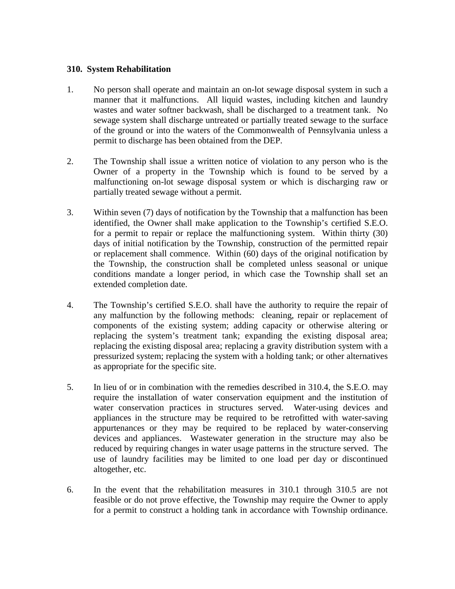#### **310. System Rehabilitation**

- 1. No person shall operate and maintain an on-lot sewage disposal system in such a manner that it malfunctions. All liquid wastes, including kitchen and laundry wastes and water softner backwash, shall be discharged to a treatment tank. No sewage system shall discharge untreated or partially treated sewage to the surface of the ground or into the waters of the Commonwealth of Pennsylvania unless a permit to discharge has been obtained from the DEP.
- 2. The Township shall issue a written notice of violation to any person who is the Owner of a property in the Township which is found to be served by a malfunctioning on-lot sewage disposal system or which is discharging raw or partially treated sewage without a permit.
- 3. Within seven (7) days of notification by the Township that a malfunction has been identified, the Owner shall make application to the Township's certified S.E.O. for a permit to repair or replace the malfunctioning system. Within thirty (30) days of initial notification by the Township, construction of the permitted repair or replacement shall commence. Within (60) days of the original notification by the Township, the construction shall be completed unless seasonal or unique conditions mandate a longer period, in which case the Township shall set an extended completion date.
- 4. The Township's certified S.E.O. shall have the authority to require the repair of any malfunction by the following methods: cleaning, repair or replacement of components of the existing system; adding capacity or otherwise altering or replacing the system's treatment tank; expanding the existing disposal area; replacing the existing disposal area; replacing a gravity distribution system with a pressurized system; replacing the system with a holding tank; or other alternatives as appropriate for the specific site.
- 5. In lieu of or in combination with the remedies described in 310.4, the S.E.O. may require the installation of water conservation equipment and the institution of water conservation practices in structures served. Water-using devices and appliances in the structure may be required to be retrofitted with water-saving appurtenances or they may be required to be replaced by water-conserving devices and appliances. Wastewater generation in the structure may also be reduced by requiring changes in water usage patterns in the structure served. The use of laundry facilities may be limited to one load per day or discontinued altogether, etc.
- 6. In the event that the rehabilitation measures in 310.1 through 310.5 are not feasible or do not prove effective, the Township may require the Owner to apply for a permit to construct a holding tank in accordance with Township ordinance.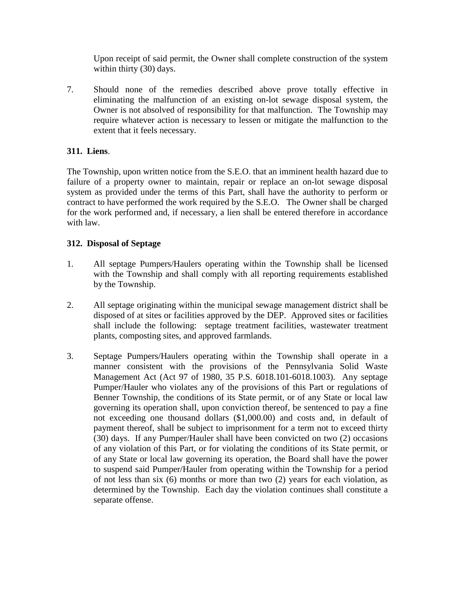Upon receipt of said permit, the Owner shall complete construction of the system within thirty (30) days.

7. Should none of the remedies described above prove totally effective in eliminating the malfunction of an existing on-lot sewage disposal system, the Owner is not absolved of responsibility for that malfunction. The Township may require whatever action is necessary to lessen or mitigate the malfunction to the extent that it feels necessary.

# **311. Liens**.

The Township, upon written notice from the S.E.O. that an imminent health hazard due to failure of a property owner to maintain, repair or replace an on-lot sewage disposal system as provided under the terms of this Part, shall have the authority to perform or contract to have performed the work required by the S.E.O. The Owner shall be charged for the work performed and, if necessary, a lien shall be entered therefore in accordance with law.

# **312. Disposal of Septage**

- 1. All septage Pumpers/Haulers operating within the Township shall be licensed with the Township and shall comply with all reporting requirements established by the Township.
- 2. All septage originating within the municipal sewage management district shall be disposed of at sites or facilities approved by the DEP. Approved sites or facilities shall include the following: septage treatment facilities, wastewater treatment plants, composting sites, and approved farmlands.
- 3. Septage Pumpers/Haulers operating within the Township shall operate in a manner consistent with the provisions of the Pennsylvania Solid Waste Management Act (Act 97 of 1980, 35 P.S. 6018.101-6018.1003). Any septage Pumper/Hauler who violates any of the provisions of this Part or regulations of Benner Township, the conditions of its State permit, or of any State or local law governing its operation shall, upon conviction thereof, be sentenced to pay a fine not exceeding one thousand dollars (\$1,000.00) and costs and, in default of payment thereof, shall be subject to imprisonment for a term not to exceed thirty (30) days. If any Pumper/Hauler shall have been convicted on two (2) occasions of any violation of this Part, or for violating the conditions of its State permit, or of any State or local law governing its operation, the Board shall have the power to suspend said Pumper/Hauler from operating within the Township for a period of not less than six (6) months or more than two (2) years for each violation, as determined by the Township. Each day the violation continues shall constitute a separate offense.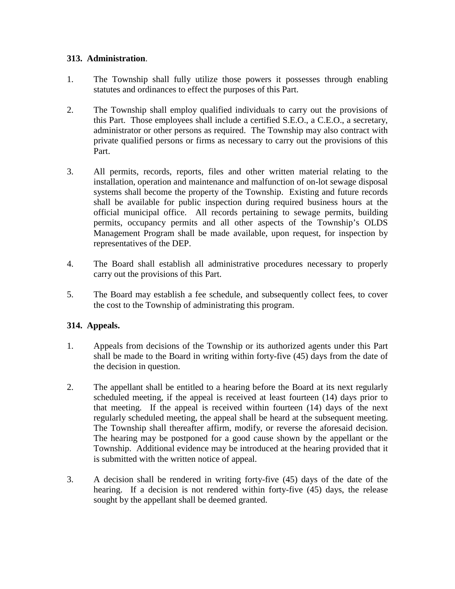### **313. Administration**.

- 1. The Township shall fully utilize those powers it possesses through enabling statutes and ordinances to effect the purposes of this Part.
- 2. The Township shall employ qualified individuals to carry out the provisions of this Part. Those employees shall include a certified S.E.O., a C.E.O., a secretary, administrator or other persons as required. The Township may also contract with private qualified persons or firms as necessary to carry out the provisions of this Part.
- 3. All permits, records, reports, files and other written material relating to the installation, operation and maintenance and malfunction of on-lot sewage disposal systems shall become the property of the Township. Existing and future records shall be available for public inspection during required business hours at the official municipal office. All records pertaining to sewage permits, building permits, occupancy permits and all other aspects of the Township's OLDS Management Program shall be made available, upon request, for inspection by representatives of the DEP.
- 4. The Board shall establish all administrative procedures necessary to properly carry out the provisions of this Part.
- 5. The Board may establish a fee schedule, and subsequently collect fees, to cover the cost to the Township of administrating this program.

# **314. Appeals.**

- 1. Appeals from decisions of the Township or its authorized agents under this Part shall be made to the Board in writing within forty-five (45) days from the date of the decision in question.
- 2. The appellant shall be entitled to a hearing before the Board at its next regularly scheduled meeting, if the appeal is received at least fourteen (14) days prior to that meeting. If the appeal is received within fourteen (14) days of the next regularly scheduled meeting, the appeal shall be heard at the subsequent meeting. The Township shall thereafter affirm, modify, or reverse the aforesaid decision. The hearing may be postponed for a good cause shown by the appellant or the Township. Additional evidence may be introduced at the hearing provided that it is submitted with the written notice of appeal.
- 3. A decision shall be rendered in writing forty-five (45) days of the date of the hearing. If a decision is not rendered within forty-five (45) days, the release sought by the appellant shall be deemed granted.